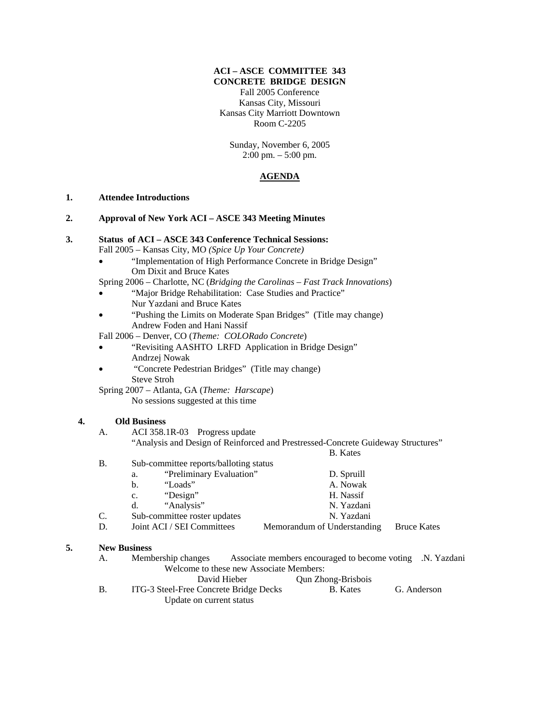#### **ACI – ASCE COMMITTEE 343 CONCRETE BRIDGE DESIGN**

Fall 2005 Conference Kansas City, Missouri Kansas City Marriott Downtown Room C-2205

Sunday, November 6, 2005 2:00 pm. – 5:00 pm.

## **AGENDA**

### **1. Attendee Introductions**

# **2. Approval of New York ACI – ASCE 343 Meeting Minutes**

| 3. |  | <b>Status of ACI – ASCE 343 Conference Technical Sessions:</b> |
|----|--|----------------------------------------------------------------|
|----|--|----------------------------------------------------------------|

Fall 2005 – Kansas City, MO *(Spice Up Your Concrete)*

• "Implementation of High Performance Concrete in Bridge Design" Om Dixit and Bruce Kates

Spring 2006 – Charlotte, NC (*Bridging the Carolinas – Fast Track Innovations*)

- "Major Bridge Rehabilitation: Case Studies and Practice" Nur Yazdani and Bruce Kates
- "Pushing the Limits on Moderate Span Bridges" (Title may change) Andrew Foden and Hani Nassif

Fall 2006 – Denver, CO (*Theme: COLORado Concrete*)

- "Revisiting AASHTO LRFD Application in Bridge Design" Andrzej Nowak
- "Concrete Pedestrian Bridges" (Title may change) Steve Stroh
- Spring 2007 Atlanta, GA (*Theme: Harscape*) No sessions suggested at this time

### **4. Old Business**

A. ACI 358.1R-03 Progress update "Analysis and Design of Reinforced and Prestressed-Concrete Guideway Structures" B. Kates

- B. Sub-committee reports/balloting status
- a. "Preliminary Evaluation" D. Spruill b. "Loads" A. Nowak c. "Design" H. Nassif d. "Analysis" N. Yazdani C. Sub-committee roster updates N. Yazdani D. Joint ACI / SEI Committees Memorandum of Understanding Bruce Kates

### **5. New Business**

- A. Membership changes Associate members encouraged to become voting .N. Yazdani Welcome to these new Associate Members: David Hieber Qun Zhong-Brisbois B. ITG-3 Steel-Free Concrete Bridge Decks B. Kates G. Anderson
	- Update on current status